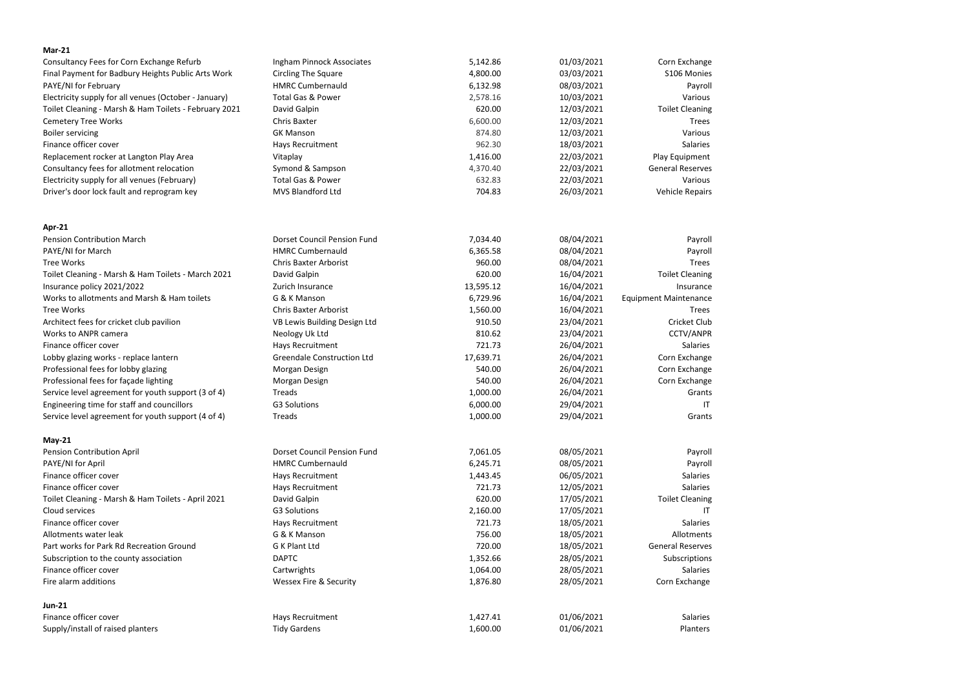| $Mar-21$                                              |                                    |                  |            |                                       |
|-------------------------------------------------------|------------------------------------|------------------|------------|---------------------------------------|
| Consultancy Fees for Corn Exchange Refurb             | Ingham Pinnock Associates          | 5,142.86         | 01/03/2021 | Corn Exchange                         |
| Final Payment for Badbury Heights Public Arts Work    | <b>Circling The Square</b>         | 4,800.00         | 03/03/2021 | S106 Monies                           |
| PAYE/NI for February                                  | <b>HMRC Cumbernauld</b>            | 6,132.98         | 08/03/2021 | Payroll                               |
| Electricity supply for all venues (October - January) | <b>Total Gas &amp; Power</b>       | 2,578.16         | 10/03/2021 | Various                               |
| Toilet Cleaning - Marsh & Ham Toilets - February 2021 | David Galpin                       | 620.00           | 12/03/2021 | <b>Toilet Cleaning</b>                |
| <b>Cemetery Tree Works</b>                            | Chris Baxter                       | 6,600.00         | 12/03/2021 | <b>Trees</b>                          |
| <b>Boiler servicing</b>                               | <b>GK Manson</b>                   | 874.80           | 12/03/2021 | Various                               |
| Finance officer cover                                 | Hays Recruitment                   | 962.30           | 18/03/2021 | Salaries                              |
| Replacement rocker at Langton Play Area               | Vitaplay                           | 1,416.00         | 22/03/2021 | Play Equipment                        |
| Consultancy fees for allotment relocation             | Symond & Sampson                   | 4,370.40         | 22/03/2021 | <b>General Reserves</b>               |
| Electricity supply for all venues (February)          | Total Gas & Power                  | 632.83           | 22/03/2021 | Various                               |
| Driver's door lock fault and reprogram key            | <b>MVS Blandford Ltd</b>           | 704.83           | 26/03/2021 | <b>Vehicle Repairs</b>                |
| Apr-21                                                |                                    |                  |            |                                       |
| <b>Pension Contribution March</b>                     | <b>Dorset Council Pension Fund</b> | 7,034.40         | 08/04/2021 | Payroll                               |
| PAYE/NI for March                                     | <b>HMRC Cumbernauld</b>            | 6,365.58         | 08/04/2021 | Payroll                               |
| <b>Tree Works</b>                                     | <b>Chris Baxter Arborist</b>       | 960.00           | 08/04/2021 | <b>Trees</b>                          |
| Toilet Cleaning - Marsh & Ham Toilets - March 2021    | David Galpin                       | 620.00           | 16/04/2021 | <b>Toilet Cleaning</b>                |
| Insurance policy 2021/2022                            | Zurich Insurance                   | 13,595.12        | 16/04/2021 | Insurance                             |
| Works to allotments and Marsh & Ham toilets           | G & K Manson                       | 6,729.96         | 16/04/2021 | <b>Equipment Maintenance</b>          |
| <b>Tree Works</b>                                     | <b>Chris Baxter Arborist</b>       | 1,560.00         | 16/04/2021 | <b>Trees</b>                          |
| Architect fees for cricket club pavilion              | VB Lewis Building Design Ltd       | 910.50           | 23/04/2021 | Cricket Club                          |
| Works to ANPR camera                                  | Neology Uk Ltd                     | 810.62           | 23/04/2021 | <b>CCTV/ANPR</b>                      |
| Finance officer cover                                 | Hays Recruitment                   | 721.73           | 26/04/2021 | Salaries                              |
| Lobby glazing works - replace lantern                 | <b>Greendale Construction Ltd</b>  | 17,639.71        | 26/04/2021 | Corn Exchange                         |
| Professional fees for lobby glazing                   | Morgan Design                      | 540.00           | 26/04/2021 | Corn Exchange                         |
| Professional fees for façade lighting                 | Morgan Design                      | 540.00           | 26/04/2021 | Corn Exchange                         |
| Service level agreement for youth support (3 of 4)    | Treads                             | 1,000.00         | 26/04/2021 | Grants                                |
| Engineering time for staff and councillors            | <b>G3 Solutions</b>                | 6,000.00         | 29/04/2021 | -IT                                   |
| Service level agreement for youth support (4 of 4)    | Treads                             | 1,000.00         | 29/04/2021 | Grants                                |
| <b>May-21</b>                                         |                                    |                  |            |                                       |
| Pension Contribution April                            | <b>Dorset Council Pension Fund</b> | 7,061.05         | 08/05/2021 | Payroll                               |
| PAYE/NI for April                                     | <b>HMRC Cumbernauld</b>            | 6,245.71         | 08/05/2021 | Payroll                               |
| Finance officer cover<br>Finance officer cover        | <b>Hays Recruitment</b>            | 1,443.45         | 06/05/2021 | <b>Salaries</b>                       |
|                                                       | Hays Recruitment                   | 721.73           | 12/05/2021 | <b>Salaries</b>                       |
| Toilet Cleaning - Marsh & Ham Toilets - April 2021    | David Galpin                       | 620.00           | 17/05/2021 | <b>Toilet Cleaning</b>                |
| Cloud services                                        | <b>G3 Solutions</b>                | 2,160.00         | 17/05/2021 | ΙT                                    |
| Finance officer cover                                 | Hays Recruitment                   | 721.73           | 18/05/2021 | <b>Salaries</b>                       |
| Allotments water leak                                 | G & K Manson                       | 756.00<br>720.00 | 18/05/2021 | Allotments<br><b>General Reserves</b> |
| Part works for Park Rd Recreation Ground              | G K Plant Ltd                      |                  | 18/05/2021 |                                       |
| Subscription to the county association                | <b>DAPTC</b>                       | 1,352.66         | 28/05/2021 | Subscriptions                         |
| Finance officer cover                                 | Cartwrights                        | 1,064.00         | 28/05/2021 | Salaries                              |
| Fire alarm additions                                  | <b>Wessex Fire &amp; Security</b>  | 1,876.80         | 28/05/2021 | Corn Exchange                         |
| <b>Jun-21</b>                                         |                                    |                  |            |                                       |
| Finance officer cover                                 | Hays Recruitment                   | 1,427.41         | 01/06/2021 | Salaries                              |
| Supply/install of raised planters                     | <b>Tidy Gardens</b>                | 1,600.00         | 01/06/2021 | Planters                              |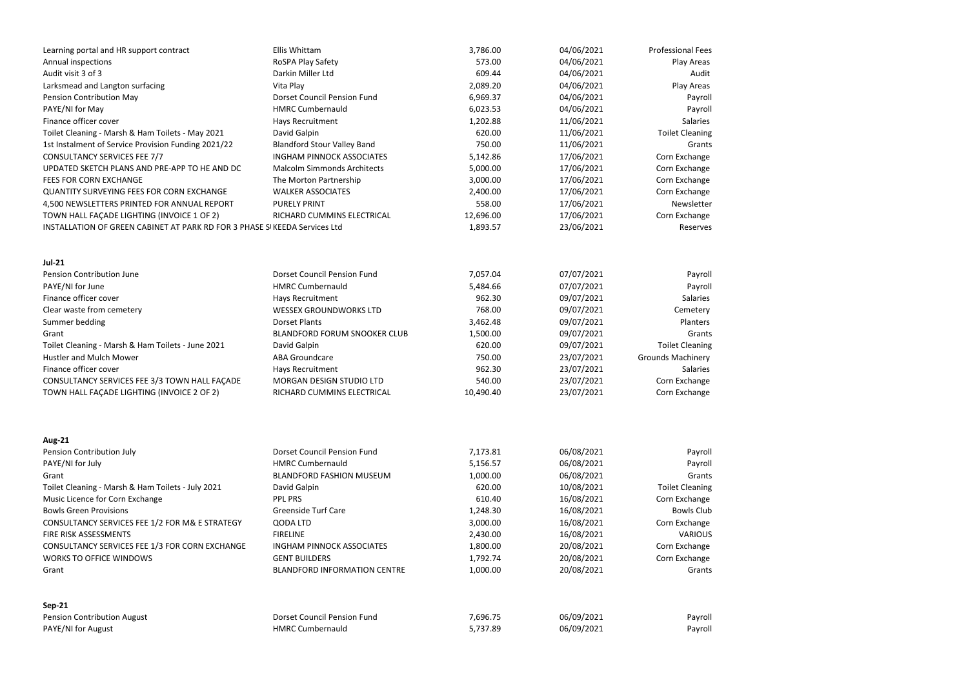| Learning portal and HR support contract                                    | Ellis Whittam                       | 3,786.00  | 04/06/2021 | <b>Professional Fees</b> |
|----------------------------------------------------------------------------|-------------------------------------|-----------|------------|--------------------------|
| Annual inspections                                                         | RoSPA Play Safety                   | 573.00    | 04/06/2021 | Play Areas               |
| Audit visit 3 of 3                                                         | Darkin Miller Ltd                   | 609.44    | 04/06/2021 | Audit                    |
| Larksmead and Langton surfacing                                            | Vita Play                           | 2,089.20  | 04/06/2021 | Play Areas               |
| Pension Contribution May                                                   | <b>Dorset Council Pension Fund</b>  | 6,969.37  | 04/06/2021 | Payroll                  |
| PAYE/NI for May                                                            | <b>HMRC Cumbernauld</b>             | 6,023.53  | 04/06/2021 | Payroll                  |
| Finance officer cover                                                      | Hays Recruitment                    | 1,202.88  | 11/06/2021 | <b>Salaries</b>          |
| Toilet Cleaning - Marsh & Ham Toilets - May 2021                           | David Galpin                        | 620.00    | 11/06/2021 | <b>Toilet Cleaning</b>   |
| 1st Instalment of Service Provision Funding 2021/22                        | <b>Blandford Stour Valley Band</b>  | 750.00    | 11/06/2021 | Grants                   |
| <b>CONSULTANCY SERVICES FEE 7/7</b>                                        | <b>INGHAM PINNOCK ASSOCIATES</b>    | 5,142.86  | 17/06/2021 | Corn Exchange            |
| UPDATED SKETCH PLANS AND PRE-APP TO HE AND DC                              | <b>Malcolm Simmonds Architects</b>  | 5,000.00  | 17/06/2021 | Corn Exchange            |
| FEES FOR CORN EXCHANGE                                                     | The Morton Partnership              | 3,000.00  | 17/06/2021 | Corn Exchange            |
| <b>QUANTITY SURVEYING FEES FOR CORN EXCHANGE</b>                           | <b>WALKER ASSOCIATES</b>            | 2,400.00  | 17/06/2021 | Corn Exchange            |
| 4,500 NEWSLETTERS PRINTED FOR ANNUAL REPORT                                | <b>PURELY PRINT</b>                 | 558.00    | 17/06/2021 | Newsletter               |
| TOWN HALL FAÇADE LIGHTING (INVOICE 1 OF 2)                                 | RICHARD CUMMINS ELECTRICAL          | 12,696.00 | 17/06/2021 | Corn Exchange            |
| INSTALLATION OF GREEN CABINET AT PARK RD FOR 3 PHASE SI KEEDA Services Ltd |                                     | 1,893.57  | 23/06/2021 | Reserves                 |
| <b>Jul-21</b>                                                              |                                     |           |            |                          |
| <b>Pension Contribution June</b>                                           | <b>Dorset Council Pension Fund</b>  | 7,057.04  | 07/07/2021 | Payroll                  |
| PAYE/NI for June                                                           | <b>HMRC Cumbernauld</b>             | 5,484.66  | 07/07/2021 | Payroll                  |
| Finance officer cover                                                      | Hays Recruitment                    | 962.30    | 09/07/2021 | <b>Salaries</b>          |
| Clear waste from cemetery                                                  | <b>WESSEX GROUNDWORKS LTD</b>       | 768.00    | 09/07/2021 | Cemetery                 |
| Summer bedding                                                             | <b>Dorset Plants</b>                | 3,462.48  | 09/07/2021 | Planters                 |
| Grant                                                                      | <b>BLANDFORD FORUM SNOOKER CLUB</b> | 1,500.00  | 09/07/2021 | Grants                   |
| Toilet Cleaning - Marsh & Ham Toilets - June 2021                          | David Galpin                        | 620.00    | 09/07/2021 | <b>Toilet Cleaning</b>   |
| <b>Hustler and Mulch Mower</b>                                             | <b>ABA Groundcare</b>               | 750.00    | 23/07/2021 | <b>Grounds Machinery</b> |
| Finance officer cover                                                      | Hays Recruitment                    | 962.30    | 23/07/2021 | <b>Salaries</b>          |
| CONSULTANCY SERVICES FEE 3/3 TOWN HALL FAÇADE                              | MORGAN DESIGN STUDIO LTD            | 540.00    | 23/07/2021 | Corn Exchange            |
| TOWN HALL FAÇADE LIGHTING (INVOICE 2 OF 2)                                 | RICHARD CUMMINS ELECTRICAL          | 10,490.40 | 23/07/2021 | Corn Exchange            |
|                                                                            |                                     |           |            |                          |
| <b>Aug-21</b>                                                              |                                     |           |            |                          |
| Pension Contribution July                                                  | <b>Dorset Council Pension Fund</b>  | 7,173.81  | 06/08/2021 | Payroll                  |
| PAYE/NI for July                                                           | <b>HMRC Cumbernauld</b>             | 5,156.57  | 06/08/2021 | Payroll                  |
| Grant                                                                      | <b>BLANDFORD FASHION MUSEUM</b>     | 1,000.00  | 06/08/2021 | Grants                   |
| Toilet Cleaning - Marsh & Ham Toilets - July 2021                          | David Galpin                        | 620.00    | 10/08/2021 | <b>Toilet Cleaning</b>   |
| Music Licence for Corn Exchange                                            | <b>PPL PRS</b>                      | 610.40    | 16/08/2021 | Corn Exchange            |
| <b>Bowls Green Provisions</b>                                              | <b>Greenside Turf Care</b>          | 1,248.30  | 16/08/2021 | <b>Bowls Club</b>        |
| CONSULTANCY SERVICES FEE 1/2 FOR M& E STRATEGY                             | QODA LTD                            | 3,000.00  | 16/08/2021 | Corn Exchange            |
| FIRE RISK ASSESSMENTS                                                      | <b>FIRELINE</b>                     | 2,430.00  | 16/08/2021 | <b>VARIOUS</b>           |
| CONSULTANCY SERVICES FEE 1/3 FOR CORN EXCHANGE                             | <b>INGHAM PINNOCK ASSOCIATES</b>    | 1,800.00  | 20/08/2021 | Corn Exchange            |
| <b>WORKS TO OFFICE WINDOWS</b>                                             | <b>GENT BUILDERS</b>                | 1,792.74  | 20/08/2021 | Corn Exchange            |
| Grant                                                                      | <b>BLANDFORD INFORMATION CENTRE</b> | 1,000.00  | 20/08/2021 | Grants                   |
| <b>Sep-21</b>                                                              |                                     |           |            |                          |
| Pension Contribution August                                                | <b>Dorset Council Pension Fund</b>  | 7,696.75  | 06/09/2021 | Payroll                  |
| PAYE/NI for August                                                         | <b>HMRC Cumbernauld</b>             | 5,737.89  | 06/09/2021 | Payroll                  |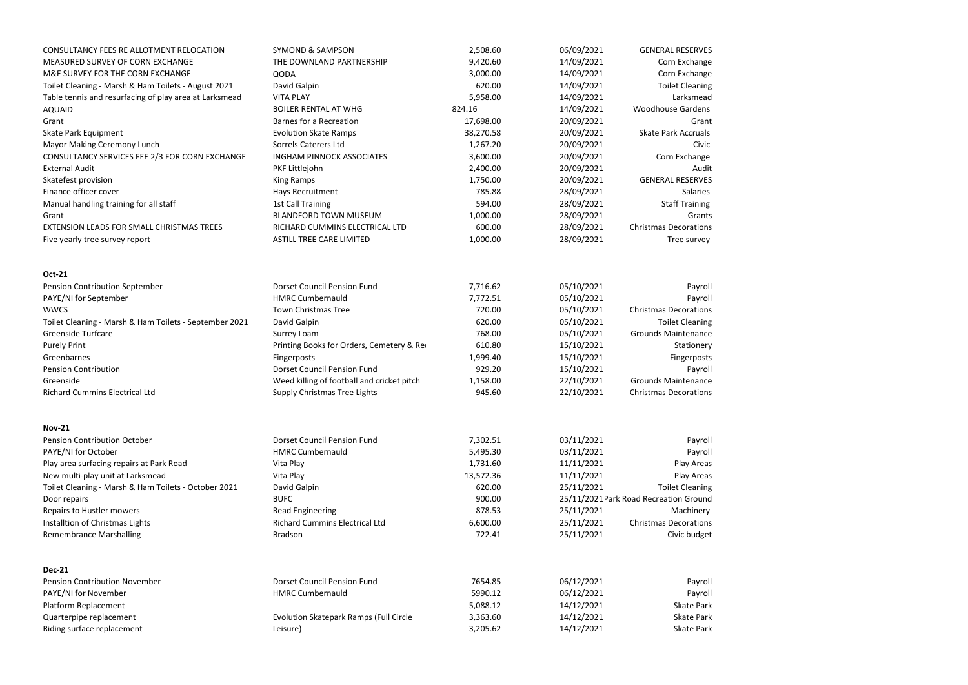| CONSULTANCY FEES RE ALLOTMENT RELOCATION               | <b>SYMOND &amp; SAMPSON</b>                   | 2,508.60  | 06/09/2021 | <b>GENERAL RESERVES</b>                |
|--------------------------------------------------------|-----------------------------------------------|-----------|------------|----------------------------------------|
| MEASURED SURVEY OF CORN EXCHANGE                       | THE DOWNLAND PARTNERSHIP                      | 9,420.60  | 14/09/2021 | Corn Exchange                          |
| M&E SURVEY FOR THE CORN EXCHANGE                       | <b>QODA</b>                                   | 3,000.00  | 14/09/2021 | Corn Exchange                          |
| Toilet Cleaning - Marsh & Ham Toilets - August 2021    | David Galpin                                  | 620.00    | 14/09/2021 | <b>Toilet Cleaning</b>                 |
| Table tennis and resurfacing of play area at Larksmead | <b>VITA PLAY</b>                              | 5,958.00  | 14/09/2021 | Larksmead                              |
| AQUAID                                                 | <b>BOILER RENTAL AT WHG</b>                   | 824.16    | 14/09/2021 | <b>Woodhouse Gardens</b>               |
| Grant                                                  | <b>Barnes for a Recreation</b>                | 17,698.00 | 20/09/2021 | Grant                                  |
| Skate Park Equipment                                   | <b>Evolution Skate Ramps</b>                  | 38,270.58 | 20/09/2021 | <b>Skate Park Accruals</b>             |
| Mayor Making Ceremony Lunch                            | <b>Sorrels Caterers Ltd</b>                   | 1,267.20  | 20/09/2021 | Civic                                  |
| CONSULTANCY SERVICES FEE 2/3 FOR CORN EXCHANGE         | <b>INGHAM PINNOCK ASSOCIATES</b>              | 3,600.00  | 20/09/2021 | Corn Exchange                          |
| <b>External Audit</b>                                  | PKF Littlejohn                                | 2,400.00  | 20/09/2021 | Audit                                  |
| Skatefest provision                                    | <b>King Ramps</b>                             | 1,750.00  | 20/09/2021 | <b>GENERAL RESERVES</b>                |
| Finance officer cover                                  | Hays Recruitment                              | 785.88    | 28/09/2021 | <b>Salaries</b>                        |
| Manual handling training for all staff                 | <b>1st Call Training</b>                      | 594.00    | 28/09/2021 | <b>Staff Training</b>                  |
| Grant                                                  | <b>BLANDFORD TOWN MUSEUM</b>                  | 1,000.00  | 28/09/2021 | Grants                                 |
| EXTENSION LEADS FOR SMALL CHRISTMAS TREES              | RICHARD CUMMINS ELECTRICAL LTD                | 600.00    | 28/09/2021 | <b>Christmas Decorations</b>           |
| Five yearly tree survey report                         | <b>ASTILL TREE CARE LIMITED</b>               | 1,000.00  | 28/09/2021 | Tree survey                            |
|                                                        |                                               |           |            |                                        |
| <b>Oct-21</b>                                          |                                               |           |            |                                        |
| Pension Contribution September                         | <b>Dorset Council Pension Fund</b>            | 7,716.62  | 05/10/2021 | Payroll                                |
| PAYE/NI for September                                  | <b>HMRC Cumbernauld</b>                       | 7,772.51  | 05/10/2021 | Payroll                                |
| <b>WWCS</b>                                            | <b>Town Christmas Tree</b>                    | 720.00    | 05/10/2021 | <b>Christmas Decorations</b>           |
| Toilet Cleaning - Marsh & Ham Toilets - September 2021 | David Galpin                                  | 620.00    | 05/10/2021 | <b>Toilet Cleaning</b>                 |
| <b>Greenside Turfcare</b>                              | <b>Surrey Loam</b>                            | 768.00    | 05/10/2021 | <b>Grounds Maintenance</b>             |
| <b>Purely Print</b>                                    | Printing Books for Orders, Cemetery & Re      | 610.80    | 15/10/2021 | Stationery                             |
| Greenbarnes                                            | Fingerposts                                   | 1,999.40  | 15/10/2021 | Fingerposts                            |
| <b>Pension Contribution</b>                            | <b>Dorset Council Pension Fund</b>            | 929.20    | 15/10/2021 | Payroll                                |
| Greenside                                              | Weed killing of football and cricket pitch    | 1,158.00  | 22/10/2021 | <b>Grounds Maintenance</b>             |
| <b>Richard Cummins Electrical Ltd</b>                  | <b>Supply Christmas Tree Lights</b>           | 945.60    | 22/10/2021 | <b>Christmas Decorations</b>           |
| <b>Nov-21</b>                                          |                                               |           |            |                                        |
| <b>Pension Contribution October</b>                    | <b>Dorset Council Pension Fund</b>            | 7,302.51  | 03/11/2021 | Payroll                                |
| PAYE/NI for October                                    | <b>HMRC Cumbernauld</b>                       | 5,495.30  | 03/11/2021 | Payroll                                |
| Play area surfacing repairs at Park Road               | Vita Play                                     | 1,731.60  | 11/11/2021 | Play Areas                             |
| New multi-play unit at Larksmead                       | Vita Play                                     | 13,572.36 | 11/11/2021 | Play Areas                             |
| Toilet Cleaning - Marsh & Ham Toilets - October 2021   | David Galpin                                  | 620.00    | 25/11/2021 | <b>Toilet Cleaning</b>                 |
| Door repairs                                           | <b>BUFC</b>                                   | 900.00    |            | 25/11/2021 Park Road Recreation Ground |
| Repairs to Hustler mowers                              | <b>Read Engineering</b>                       | 878.53    | 25/11/2021 | Machinery                              |
| Installtion of Christmas Lights                        | <b>Richard Cummins Electrical Ltd</b>         | 6,600.00  | 25/11/2021 | <b>Christmas Decorations</b>           |
| <b>Remembrance Marshalling</b>                         | <b>Bradson</b>                                | 722.41    | 25/11/2021 | Civic budget                           |
|                                                        |                                               |           |            |                                        |
| <b>Dec-21</b>                                          |                                               |           |            |                                        |
| <b>Pension Contribution November</b>                   | <b>Dorset Council Pension Fund</b>            | 7654.85   | 06/12/2021 | Payroll                                |
| PAYE/NI for November                                   | <b>HMRC Cumbernauld</b>                       | 5990.12   | 06/12/2021 | Payroll                                |
| Platform Replacement                                   |                                               | 5,088.12  | 14/12/2021 | <b>Skate Park</b>                      |
| Quarterpipe replacement                                | <b>Evolution Skatepark Ramps (Full Circle</b> | 3,363.60  | 14/12/2021 | <b>Skate Park</b>                      |
| Riding surface replacement                             | Leisure)                                      | 3,205.62  | 14/12/2021 | <b>Skate Park</b>                      |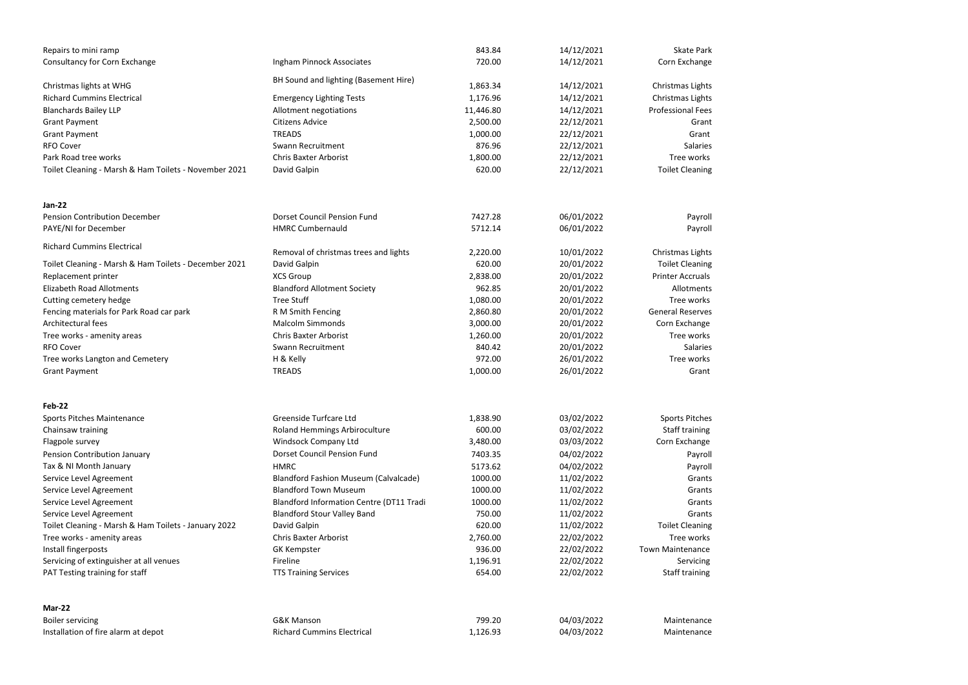| Repairs to mini ramp                                                            |                                                                              | 843.84             | 14/12/2021               | <b>Skate Park</b>                |
|---------------------------------------------------------------------------------|------------------------------------------------------------------------------|--------------------|--------------------------|----------------------------------|
| Consultancy for Corn Exchange                                                   | Ingham Pinnock Associates                                                    | 720.00             | 14/12/2021               | Corn Exchange                    |
|                                                                                 |                                                                              |                    |                          |                                  |
| Christmas lights at WHG                                                         | BH Sound and lighting (Basement Hire)                                        | 1,863.34           | 14/12/2021               | Christmas Lights                 |
| <b>Richard Cummins Electrical</b>                                               | <b>Emergency Lighting Tests</b>                                              | 1,176.96           | 14/12/2021               | Christmas Lights                 |
| <b>Blanchards Bailey LLP</b>                                                    | Allotment negotiations                                                       | 11,446.80          | 14/12/2021               | <b>Professional Fees</b>         |
| <b>Grant Payment</b>                                                            | <b>Citizens Advice</b>                                                       | 2,500.00           | 22/12/2021               | Grant                            |
| <b>Grant Payment</b>                                                            | <b>TREADS</b>                                                                | 1,000.00           | 22/12/2021               | Grant                            |
| <b>RFO Cover</b>                                                                | Swann Recruitment                                                            | 876.96             | 22/12/2021               | <b>Salaries</b>                  |
| Park Road tree works                                                            | <b>Chris Baxter Arborist</b>                                                 | 1,800.00           | 22/12/2021               | Tree works                       |
| Toilet Cleaning - Marsh & Ham Toilets - November 2021                           | David Galpin                                                                 | 620.00             | 22/12/2021               | <b>Toilet Cleaning</b>           |
| <b>Jan-22</b>                                                                   |                                                                              |                    |                          |                                  |
| <b>Pension Contribution December</b>                                            | <b>Dorset Council Pension Fund</b>                                           | 7427.28            | 06/01/2022               | Payroll                          |
| PAYE/NI for December                                                            | <b>HMRC Cumbernauld</b>                                                      | 5712.14            | 06/01/2022               | Payroll                          |
|                                                                                 |                                                                              |                    |                          |                                  |
| <b>Richard Cummins Electrical</b>                                               | Removal of christmas trees and lights                                        | 2,220.00           | 10/01/2022               | Christmas Lights                 |
| Toilet Cleaning - Marsh & Ham Toilets - December 2021                           | David Galpin                                                                 | 620.00             | 20/01/2022               | <b>Toilet Cleaning</b>           |
| Replacement printer                                                             | <b>XCS Group</b>                                                             | 2,838.00           | 20/01/2022               | <b>Printer Accruals</b>          |
| <b>Elizabeth Road Allotments</b>                                                | <b>Blandford Allotment Society</b>                                           | 962.85             | 20/01/2022               | Allotments                       |
| Cutting cemetery hedge                                                          | <b>Tree Stuff</b>                                                            | 1,080.00           | 20/01/2022               | Tree works                       |
| Fencing materials for Park Road car park                                        | R M Smith Fencing                                                            | 2,860.80           | 20/01/2022               | <b>General Reserves</b>          |
| Architectural fees                                                              | <b>Malcolm Simmonds</b>                                                      | 3,000.00           | 20/01/2022               | Corn Exchange                    |
| Tree works - amenity areas                                                      | <b>Chris Baxter Arborist</b>                                                 | 1,260.00           | 20/01/2022               | Tree works                       |
| <b>RFO Cover</b>                                                                | Swann Recruitment                                                            | 840.42             | 20/01/2022               | Salaries                         |
| Tree works Langton and Cemetery                                                 | H & Kelly                                                                    | 972.00             | 26/01/2022               | Tree works                       |
| <b>Grant Payment</b>                                                            | <b>TREADS</b>                                                                | 1,000.00           | 26/01/2022               | Grant                            |
| <b>Feb-22</b>                                                                   |                                                                              |                    |                          |                                  |
| Sports Pitches Maintenance                                                      | Greenside Turfcare Ltd                                                       | 1,838.90           | 03/02/2022               | <b>Sports Pitches</b>            |
| Chainsaw training                                                               | <b>Roland Hemmings Arbiroculture</b>                                         | 600.00             | 03/02/2022               | <b>Staff training</b>            |
| Flagpole survey                                                                 | Windsock Company Ltd                                                         | 3,480.00           | 03/03/2022               | Corn Exchange                    |
|                                                                                 | Dorset Council Pension Fund                                                  | 7403.35            | 04/02/2022               |                                  |
| Pension Contribution January                                                    |                                                                              |                    |                          | Payroll                          |
| Tax & NI Month January                                                          | <b>HMRC</b>                                                                  | 5173.62            | 04/02/2022               | Payroll                          |
| Service Level Agreement                                                         | <b>Blandford Fashion Museum (Calvalcade)</b><br><b>Blandford Town Museum</b> | 1000.00<br>1000.00 | 11/02/2022               | Grants                           |
| Service Level Agreement                                                         |                                                                              | 1000.00            | 11/02/2022<br>11/02/2022 | Grants                           |
| Service Level Agreement                                                         | <b>Blandford Information Centre (DT11 Tradi</b>                              | 750.00             |                          | Grants                           |
| Service Level Agreement<br>Toilet Cleaning - Marsh & Ham Toilets - January 2022 | <b>Blandford Stour Valley Band</b><br>David Galpin                           | 620.00             | 11/02/2022<br>11/02/2022 | Grants<br><b>Toilet Cleaning</b> |
| Tree works - amenity areas                                                      | <b>Chris Baxter Arborist</b>                                                 | 2,760.00           | 22/02/2022               | Tree works                       |
|                                                                                 |                                                                              | 936.00             |                          | <b>Town Maintenance</b>          |
| Install fingerposts<br>Servicing of extinguisher at all venues                  | <b>GK Kempster</b><br>Fireline                                               | 1,196.91           | 22/02/2022<br>22/02/2022 | Servicing                        |
| PAT Testing training for staff                                                  | <b>TTS Training Services</b>                                                 | 654.00             | 22/02/2022               | Staff training                   |
|                                                                                 |                                                                              |                    |                          |                                  |
| Mar-22                                                                          |                                                                              |                    |                          |                                  |
| <b>Boiler servicing</b><br>Installation of fire alarm at depot                  | G&K Manson<br><b>Richard Cummins Electrical</b>                              | 799.20<br>1,126.93 | 04/03/2022<br>04/03/2022 | Maintenance<br>Maintenance       |
|                                                                                 |                                                                              |                    |                          |                                  |